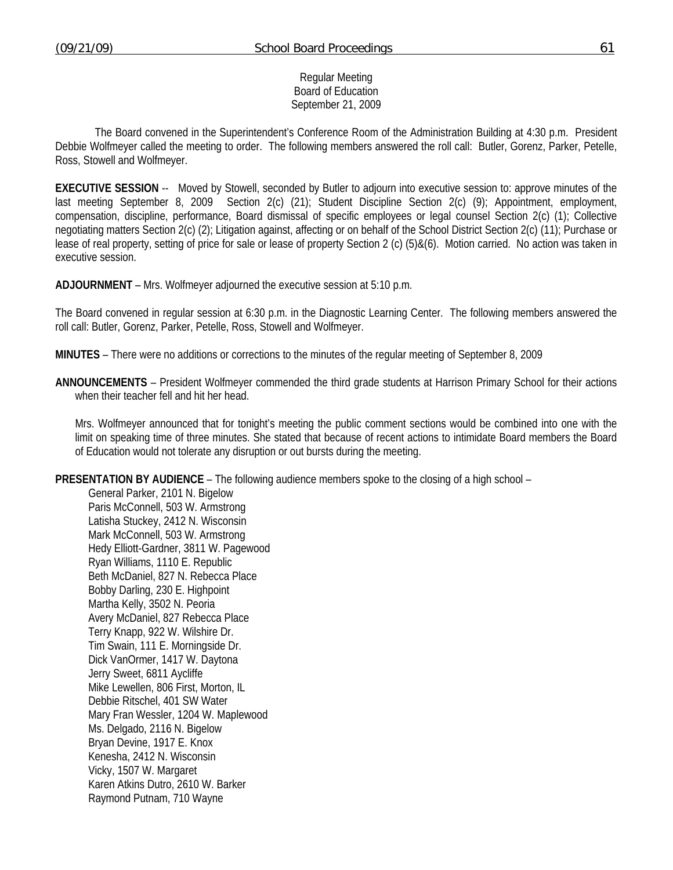#### Regular Meeting Board of Education September 21, 2009

 The Board convened in the Superintendent's Conference Room of the Administration Building at 4:30 p.m. President Debbie Wolfmeyer called the meeting to order. The following members answered the roll call: Butler, Gorenz, Parker, Petelle, Ross, Stowell and Wolfmeyer.

**EXECUTIVE SESSION** -- Moved by Stowell, seconded by Butler to adjourn into executive session to: approve minutes of the last meeting September 8, 2009 Section 2(c) (21); Student Discipline Section 2(c) (9); Appointment, employment, compensation, discipline, performance, Board dismissal of specific employees or legal counsel Section 2(c) (1); Collective negotiating matters Section 2(c) (2); Litigation against, affecting or on behalf of the School District Section 2(c) (11); Purchase or lease of real property, setting of price for sale or lease of property Section 2 (c) (5)&(6). Motion carried. No action was taken in executive session.

**ADJOURNMENT** – Mrs. Wolfmeyer adjourned the executive session at 5:10 p.m.

The Board convened in regular session at 6:30 p.m. in the Diagnostic Learning Center. The following members answered the roll call: Butler, Gorenz, Parker, Petelle, Ross, Stowell and Wolfmeyer.

**MINUTES** – There were no additions or corrections to the minutes of the regular meeting of September 8, 2009

**ANNOUNCEMENTS** – President Wolfmeyer commended the third grade students at Harrison Primary School for their actions when their teacher fell and hit her head.

 Mrs. Wolfmeyer announced that for tonight's meeting the public comment sections would be combined into one with the limit on speaking time of three minutes. She stated that because of recent actions to intimidate Board members the Board of Education would not tolerate any disruption or out bursts during the meeting.

**PRESENTATION BY AUDIENCE** – The following audience members spoke to the closing of a high school –

General Parker, 2101 N. Bigelow Paris McConnell, 503 W. Armstrong Latisha Stuckey, 2412 N. Wisconsin Mark McConnell, 503 W. Armstrong Hedy Elliott-Gardner, 3811 W. Pagewood Ryan Williams, 1110 E. Republic Beth McDaniel, 827 N. Rebecca Place Bobby Darling, 230 E. Highpoint Martha Kelly, 3502 N. Peoria Avery McDaniel, 827 Rebecca Place Terry Knapp, 922 W. Wilshire Dr. Tim Swain, 111 E. Morningside Dr. Dick VanOrmer, 1417 W. Daytona Jerry Sweet, 6811 Aycliffe Mike Lewellen, 806 First, Morton, IL Debbie Ritschel, 401 SW Water Mary Fran Wessler, 1204 W. Maplewood Ms. Delgado, 2116 N. Bigelow Bryan Devine, 1917 E. Knox Kenesha, 2412 N. Wisconsin Vicky, 1507 W. Margaret Karen Atkins Dutro, 2610 W. Barker Raymond Putnam, 710 Wayne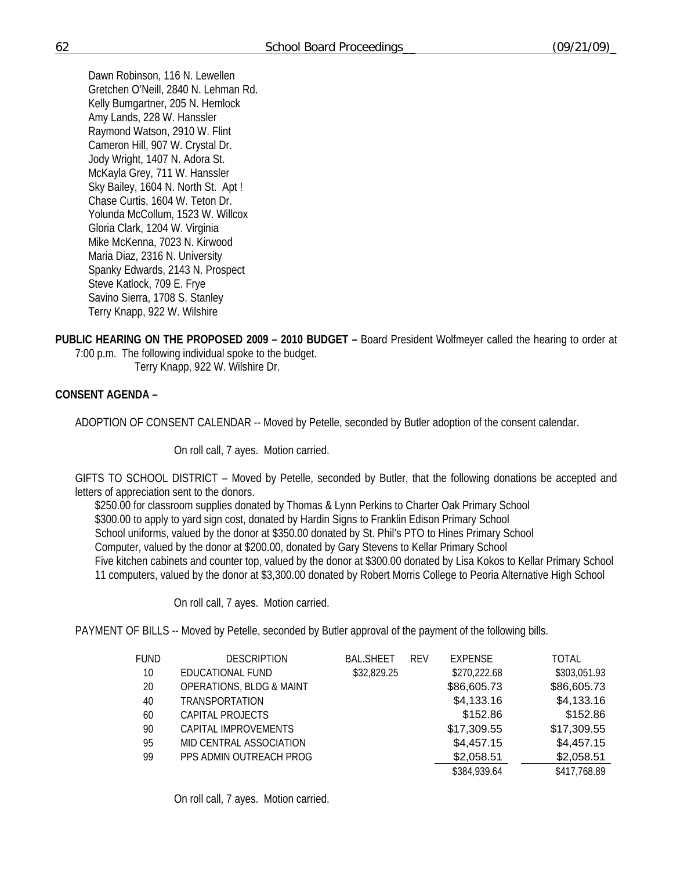Dawn Robinson, 116 N. Lewellen Gretchen O'Neill, 2840 N. Lehman Rd. Kelly Bumgartner, 205 N. Hemlock Amy Lands, 228 W. Hanssler Raymond Watson, 2910 W. Flint Cameron Hill, 907 W. Crystal Dr. Jody Wright, 1407 N. Adora St. McKayla Grey, 711 W. Hanssler Sky Bailey, 1604 N. North St. Apt ! Chase Curtis, 1604 W. Teton Dr. Yolunda McCollum, 1523 W. Willcox Gloria Clark, 1204 W. Virginia Mike McKenna, 7023 N. Kirwood Maria Diaz, 2316 N. University Spanky Edwards, 2143 N. Prospect Steve Katlock, 709 E. Frye Savino Sierra, 1708 S. Stanley Terry Knapp, 922 W. Wilshire

**PUBLIC HEARING ON THE PROPOSED 2009 – 2010 BUDGET –** Board President Wolfmeyer called the hearing to order at 7:00 p.m. The following individual spoke to the budget.

Terry Knapp, 922 W. Wilshire Dr.

## **CONSENT AGENDA –**

ADOPTION OF CONSENT CALENDAR -- Moved by Petelle, seconded by Butler adoption of the consent calendar.

On roll call, 7 ayes. Motion carried.

GIFTS TO SCHOOL DISTRICT – Moved by Petelle, seconded by Butler, that the following donations be accepted and letters of appreciation sent to the donors.

\$250.00 for classroom supplies donated by Thomas & Lynn Perkins to Charter Oak Primary School \$300.00 to apply to yard sign cost, donated by Hardin Signs to Franklin Edison Primary School School uniforms, valued by the donor at \$350.00 donated by St. Phil's PTO to Hines Primary School Computer, valued by the donor at \$200.00, donated by Gary Stevens to Kellar Primary School Five kitchen cabinets and counter top, valued by the donor at \$300.00 donated by Lisa Kokos to Kellar Primary School 11 computers, valued by the donor at \$3,300.00 donated by Robert Morris College to Peoria Alternative High School

On roll call, 7 ayes. Motion carried.

PAYMENT OF BILLS -- Moved by Petelle, seconded by Butler approval of the payment of the following bills.

| <b>FUND</b> | <b>DESCRIPTION</b>                  | <b>BAL.SHEET</b> | <b>REV</b> | <b>EXPENSE</b> | <b>TOTAL</b> |
|-------------|-------------------------------------|------------------|------------|----------------|--------------|
| 10          | EDUCATIONAL FUND                    | \$32,829.25      |            | \$270,222.68   | \$303,051.93 |
| 20          | <b>OPERATIONS, BLDG &amp; MAINT</b> |                  |            | \$86,605.73    | \$86,605.73  |
| 40          | <b>TRANSPORTATION</b>               |                  |            | \$4,133.16     | \$4,133.16   |
| 60          | CAPITAL PROJECTS                    |                  |            | \$152.86       | \$152.86     |
| 90          | CAPITAL IMPROVEMENTS                |                  |            | \$17,309.55    | \$17,309.55  |
| 95          | MID CENTRAL ASSOCIATION             |                  |            | \$4,457.15     | \$4,457.15   |
| 99          | PPS ADMIN OUTREACH PROG             |                  |            | \$2,058.51     | \$2,058.51   |
|             |                                     |                  |            | \$384,939.64   | \$417,768.89 |

On roll call, 7 ayes. Motion carried.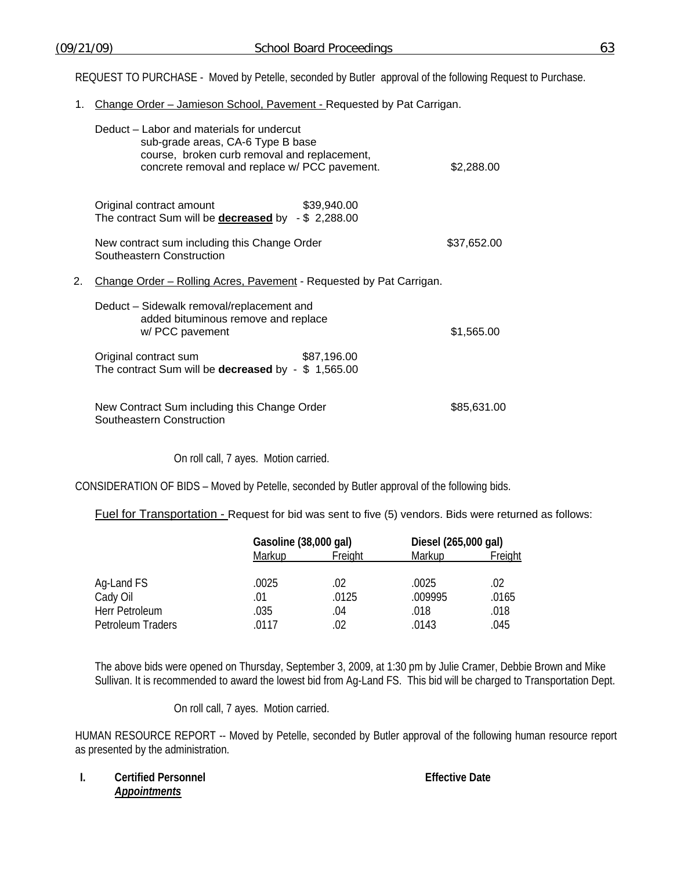REQUEST TO PURCHASE - Moved by Petelle, seconded by Butler approval of the following Request to Purchase.

1. Change Order - Jamieson School, Pavement - Requested by Pat Carrigan.

|    | Deduct – Labor and materials for undercut<br>sub-grade areas, CA-6 Type B base<br>course, broken curb removal and replacement,<br>concrete removal and replace w/ PCC pavement. | \$2,288.00  |
|----|---------------------------------------------------------------------------------------------------------------------------------------------------------------------------------|-------------|
|    | \$39,940.00<br>Original contract amount<br>The contract Sum will be <b>decreased</b> by $-$ \$ 2,288.00                                                                         |             |
|    | New contract sum including this Change Order<br>Southeastern Construction                                                                                                       | \$37,652.00 |
| 2. | Change Order – Rolling Acres, Pavement - Requested by Pat Carrigan.                                                                                                             |             |
|    | Deduct – Sidewalk removal/replacement and<br>added bituminous remove and replace<br>w/ PCC pavement                                                                             | \$1,565.00  |
|    | \$87,196.00<br>Original contract sum<br>The contract Sum will be decreased by - \$ 1,565.00                                                                                     |             |
|    | New Contract Sum including this Change Order<br>Southeastern Construction                                                                                                       | \$85,631.00 |

On roll call, 7 ayes. Motion carried.

CONSIDERATION OF BIDS – Moved by Petelle, seconded by Butler approval of the following bids.

Fuel for Transportation - Request for bid was sent to five (5) vendors. Bids were returned as follows:

|                   | Gasoline (38,000 gal) | Diesel (265,000 gal) |         |         |
|-------------------|-----------------------|----------------------|---------|---------|
|                   | Markup                | Freight              | Markup  | Freight |
| Ag-Land FS        | .0025                 | .02                  | .0025   | .02     |
| Cady Oil          | .01                   | .0125                | .009995 | .0165   |
| Herr Petroleum    | .035                  | .04                  | .018    | .018    |
| Petroleum Traders | .0117                 | .02                  | .0143   | .045    |

The above bids were opened on Thursday, September 3, 2009, at 1:30 pm by Julie Cramer, Debbie Brown and Mike Sullivan. It is recommended to award the lowest bid from Ag-Land FS. This bid will be charged to Transportation Dept.

On roll call, 7 ayes. Motion carried.

HUMAN RESOURCE REPORT -- Moved by Petelle, seconded by Butler approval of the following human resource report as presented by the administration.

**I. Certified Personnel <b>Effective Date Effective Date** *Appointments*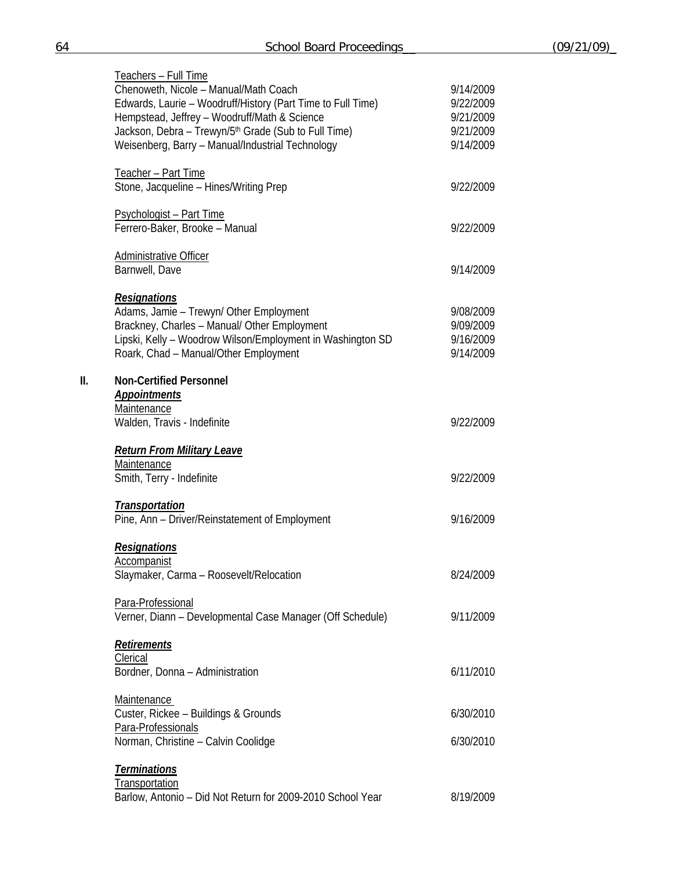|     | Teachers - Full Time<br>Chenoweth, Nicole - Manual/Math Coach<br>Edwards, Laurie - Woodruff/History (Part Time to Full Time)<br>Hempstead, Jeffrey - Woodruff/Math & Science<br>Jackson, Debra - Trewyn/5th Grade (Sub to Full Time)<br>Weisenberg, Barry - Manual/Industrial Technology | 9/14/2009<br>9/22/2009<br>9/21/2009<br>9/21/2009<br>9/14/2009 |
|-----|------------------------------------------------------------------------------------------------------------------------------------------------------------------------------------------------------------------------------------------------------------------------------------------|---------------------------------------------------------------|
|     | Teacher - Part Time<br>Stone, Jacqueline - Hines/Writing Prep                                                                                                                                                                                                                            | 9/22/2009                                                     |
|     | <b>Psychologist - Part Time</b><br>Ferrero-Baker, Brooke - Manual                                                                                                                                                                                                                        | 9/22/2009                                                     |
|     | <b>Administrative Officer</b><br>Barnwell, Dave                                                                                                                                                                                                                                          | 9/14/2009                                                     |
|     | <b>Resignations</b><br>Adams, Jamie - Trewyn/ Other Employment<br>Brackney, Charles - Manual/ Other Employment<br>Lipski, Kelly - Woodrow Wilson/Employment in Washington SD<br>Roark, Chad - Manual/Other Employment                                                                    | 9/08/2009<br>9/09/2009<br>9/16/2009<br>9/14/2009              |
| II. | <b>Non-Certified Personnel</b><br><b>Appointments</b><br><b>Maintenance</b><br>Walden, Travis - Indefinite                                                                                                                                                                               | 9/22/2009                                                     |
|     | <b>Return From Military Leave</b><br>Maintenance<br>Smith, Terry - Indefinite                                                                                                                                                                                                            | 9/22/2009                                                     |
|     | <b>Transportation</b><br>Pine, Ann - Driver/Reinstatement of Employment                                                                                                                                                                                                                  | 9/16/2009                                                     |
|     | <b>Resignations</b><br>Accompanist<br>Slaymaker, Carma - Roosevelt/Relocation                                                                                                                                                                                                            | 8/24/2009                                                     |
|     | Para-Professional<br>Verner, Diann - Developmental Case Manager (Off Schedule)                                                                                                                                                                                                           | 9/11/2009                                                     |
|     | <b>Retirements</b><br>Clerical<br>Bordner, Donna - Administration                                                                                                                                                                                                                        | 6/11/2010                                                     |
|     | <b>Maintenance</b><br>Custer, Rickee - Buildings & Grounds<br>Para-Professionals                                                                                                                                                                                                         | 6/30/2010                                                     |
|     | Norman, Christine - Calvin Coolidge                                                                                                                                                                                                                                                      | 6/30/2010                                                     |
|     | <b>Terminations</b><br><b>Transportation</b><br>Barlow, Antonio - Did Not Return for 2009-2010 School Year                                                                                                                                                                               | 8/19/2009                                                     |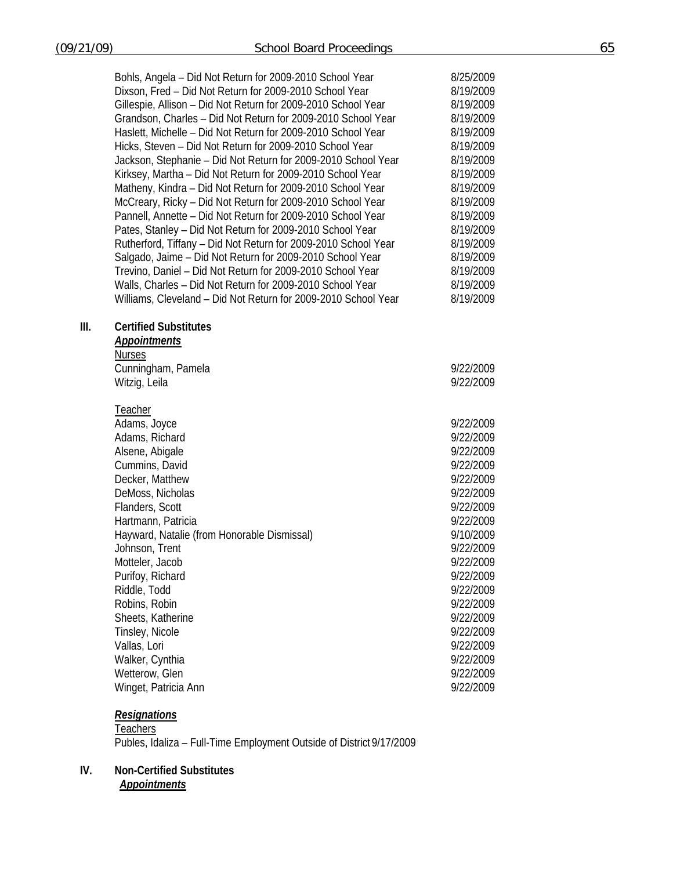|    | Bohls, Angela - Did Not Return for 2009-2010 School Year<br>Dixson, Fred - Did Not Return for 2009-2010 School Year<br>Gillespie, Allison - Did Not Return for 2009-2010 School Year<br>Grandson, Charles - Did Not Return for 2009-2010 School Year<br>Haslett, Michelle - Did Not Return for 2009-2010 School Year<br>Hicks, Steven - Did Not Return for 2009-2010 School Year<br>Jackson, Stephanie - Did Not Return for 2009-2010 School Year<br>Kirksey, Martha - Did Not Return for 2009-2010 School Year<br>Matheny, Kindra - Did Not Return for 2009-2010 School Year<br>McCreary, Ricky - Did Not Return for 2009-2010 School Year<br>Pannell, Annette - Did Not Return for 2009-2010 School Year<br>Pates, Stanley - Did Not Return for 2009-2010 School Year<br>Rutherford, Tiffany - Did Not Return for 2009-2010 School Year<br>Salgado, Jaime - Did Not Return for 2009-2010 School Year<br>Trevino, Daniel - Did Not Return for 2009-2010 School Year<br>Walls, Charles - Did Not Return for 2009-2010 School Year<br>Williams, Cleveland - Did Not Return for 2009-2010 School Year | 8/25/2009<br>8/19/2009<br>8/19/2009<br>8/19/2009<br>8/19/2009<br>8/19/2009<br>8/19/2009<br>8/19/2009<br>8/19/2009<br>8/19/2009<br>8/19/2009<br>8/19/2009<br>8/19/2009<br>8/19/2009<br>8/19/2009<br>8/19/2009<br>8/19/2009                           |
|----|-----------------------------------------------------------------------------------------------------------------------------------------------------------------------------------------------------------------------------------------------------------------------------------------------------------------------------------------------------------------------------------------------------------------------------------------------------------------------------------------------------------------------------------------------------------------------------------------------------------------------------------------------------------------------------------------------------------------------------------------------------------------------------------------------------------------------------------------------------------------------------------------------------------------------------------------------------------------------------------------------------------------------------------------------------------------------------------------------------|-----------------------------------------------------------------------------------------------------------------------------------------------------------------------------------------------------------------------------------------------------|
| Ш. | <b>Certified Substitutes</b><br><b>Appointments</b><br><b>Nurses</b><br>Cunningham, Pamela<br>Witzig, Leila                                                                                                                                                                                                                                                                                                                                                                                                                                                                                                                                                                                                                                                                                                                                                                                                                                                                                                                                                                                         | 9/22/2009<br>9/22/2009                                                                                                                                                                                                                              |
|    | <b>Teacher</b><br>Adams, Joyce<br>Adams, Richard<br>Alsene, Abigale<br>Cummins, David<br>Decker, Matthew<br>DeMoss, Nicholas<br>Flanders, Scott<br>Hartmann, Patricia<br>Hayward, Natalie (from Honorable Dismissal)<br>Johnson, Trent<br>Motteler, Jacob<br>Purifoy, Richard<br>Riddle, Todd<br>Robins, Robin<br>Sheets, Katherine<br>Tinsley, Nicole<br>Vallas, Lori<br>Walker, Cynthia<br>Wetterow, Glen                                                                                                                                                                                                                                                                                                                                                                                                                                                                                                                                                                                                                                                                                         | 9/22/2009<br>9/22/2009<br>9/22/2009<br>9/22/2009<br>9/22/2009<br>9/22/2009<br>9/22/2009<br>9/22/2009<br>9/10/2009<br>9/22/2009<br>9/22/2009<br>9/22/2009<br>9/22/2009<br>9/22/2009<br>9/22/2009<br>9/22/2009<br>9/22/2009<br>9/22/2009<br>9/22/2009 |

# *Resignations*

Teachers Publes, Idaliza – Full-Time Employment Outside of District 9/17/2009

Winget, Patricia Ann **9/22/2009** 

## **IV. Non-Certified Substitutes**  *Appointments*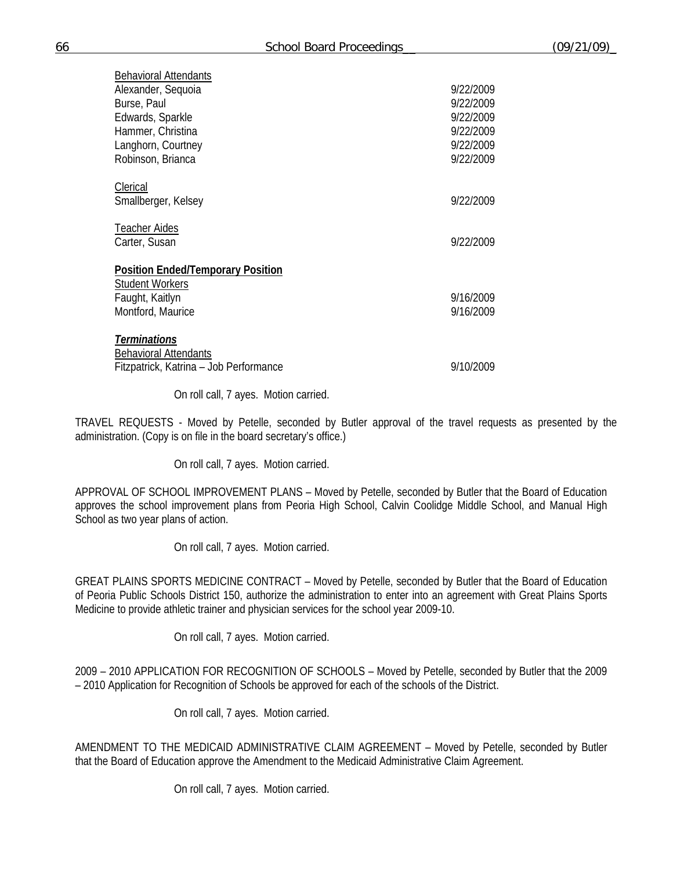| Behavioral Attendants                    |           |
|------------------------------------------|-----------|
| Alexander, Sequoia                       | 9/22/2009 |
| Burse, Paul                              | 9/22/2009 |
| Edwards, Sparkle                         | 9/22/2009 |
| Hammer, Christina                        | 9/22/2009 |
| Langhorn, Courtney                       | 9/22/2009 |
| Robinson, Brianca                        | 9/22/2009 |
|                                          |           |
| Clerical                                 |           |
| Smallberger, Kelsey                      | 9/22/2009 |
| Teacher Aides                            |           |
| Carter, Susan                            | 9/22/2009 |
|                                          |           |
| <b>Position Ended/Temporary Position</b> |           |
| <b>Student Workers</b>                   |           |
| Faught, Kaitlyn                          | 9/16/2009 |
| Montford, Maurice                        | 9/16/2009 |
|                                          |           |
| <b>Terminations</b>                      |           |
| <b>Behavioral Attendants</b>             |           |
| Fitzpatrick, Katrina - Job Performance   | 9/10/2009 |

On roll call, 7 ayes. Motion carried.

TRAVEL REQUESTS - Moved by Petelle, seconded by Butler approval of the travel requests as presented by the administration. (Copy is on file in the board secretary's office.)

On roll call, 7 ayes. Motion carried.

APPROVAL OF SCHOOL IMPROVEMENT PLANS – Moved by Petelle, seconded by Butler that the Board of Education approves the school improvement plans from Peoria High School, Calvin Coolidge Middle School, and Manual High School as two year plans of action.

On roll call, 7 ayes. Motion carried.

GREAT PLAINS SPORTS MEDICINE CONTRACT – Moved by Petelle, seconded by Butler that the Board of Education of Peoria Public Schools District 150, authorize the administration to enter into an agreement with Great Plains Sports Medicine to provide athletic trainer and physician services for the school year 2009-10.

On roll call, 7 ayes. Motion carried.

2009 – 2010 APPLICATION FOR RECOGNITION OF SCHOOLS – Moved by Petelle, seconded by Butler that the 2009 – 2010 Application for Recognition of Schools be approved for each of the schools of the District.

On roll call, 7 ayes. Motion carried.

AMENDMENT TO THE MEDICAID ADMINISTRATIVE CLAIM AGREEMENT – Moved by Petelle, seconded by Butler that the Board of Education approve the Amendment to the Medicaid Administrative Claim Agreement.

On roll call, 7 ayes. Motion carried.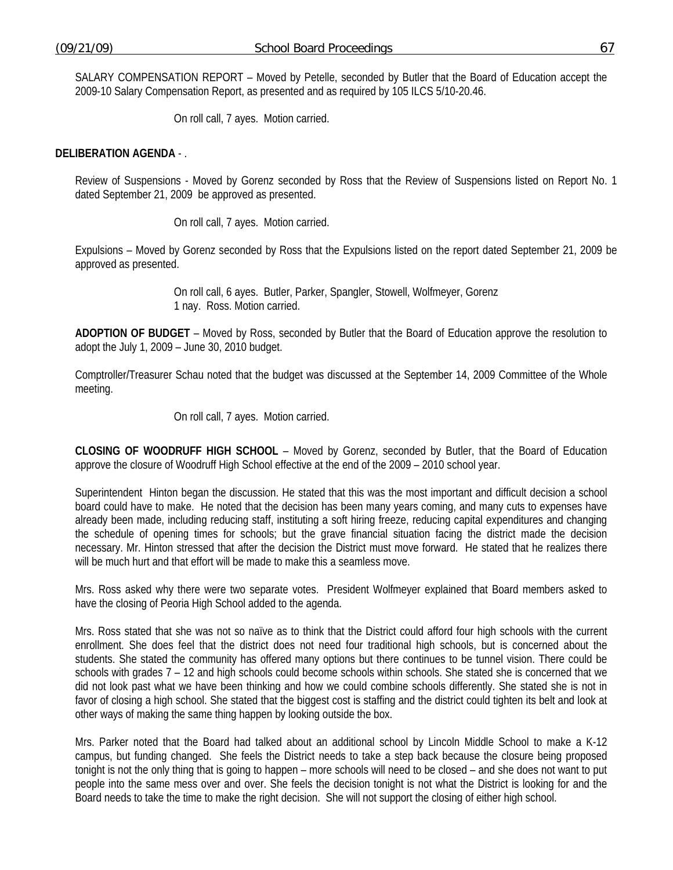SALARY COMPENSATION REPORT – Moved by Petelle, seconded by Butler that the Board of Education accept the 2009-10 Salary Compensation Report, as presented and as required by 105 ILCS 5/10-20.46.

On roll call, 7 ayes. Motion carried.

#### **DELIBERATION AGENDA** - .

Review of Suspensions - Moved by Gorenz seconded by Ross that the Review of Suspensions listed on Report No. 1 dated September 21, 2009 be approved as presented.

On roll call, 7 ayes. Motion carried.

Expulsions – Moved by Gorenz seconded by Ross that the Expulsions listed on the report dated September 21, 2009 be approved as presented.

> On roll call, 6 ayes. Butler, Parker, Spangler, Stowell, Wolfmeyer, Gorenz 1 nay. Ross. Motion carried.

**ADOPTION OF BUDGET** – Moved by Ross, seconded by Butler that the Board of Education approve the resolution to adopt the July 1, 2009 – June 30, 2010 budget.

Comptroller/Treasurer Schau noted that the budget was discussed at the September 14, 2009 Committee of the Whole meeting.

On roll call, 7 ayes. Motion carried.

**CLOSING OF WOODRUFF HIGH SCHOOL** – Moved by Gorenz, seconded by Butler, that the Board of Education approve the closure of Woodruff High School effective at the end of the 2009 – 2010 school year.

Superintendent Hinton began the discussion. He stated that this was the most important and difficult decision a school board could have to make. He noted that the decision has been many years coming, and many cuts to expenses have already been made, including reducing staff, instituting a soft hiring freeze, reducing capital expenditures and changing the schedule of opening times for schools; but the grave financial situation facing the district made the decision necessary. Mr. Hinton stressed that after the decision the District must move forward. He stated that he realizes there will be much hurt and that effort will be made to make this a seamless move.

Mrs. Ross asked why there were two separate votes. President Wolfmeyer explained that Board members asked to have the closing of Peoria High School added to the agenda.

Mrs. Ross stated that she was not so naïve as to think that the District could afford four high schools with the current enrollment. She does feel that the district does not need four traditional high schools, but is concerned about the students. She stated the community has offered many options but there continues to be tunnel vision. There could be schools with grades 7 – 12 and high schools could become schools within schools. She stated she is concerned that we did not look past what we have been thinking and how we could combine schools differently. She stated she is not in favor of closing a high school. She stated that the biggest cost is staffing and the district could tighten its belt and look at other ways of making the same thing happen by looking outside the box.

Mrs. Parker noted that the Board had talked about an additional school by Lincoln Middle School to make a K-12 campus, but funding changed. She feels the District needs to take a step back because the closure being proposed tonight is not the only thing that is going to happen – more schools will need to be closed – and she does not want to put people into the same mess over and over. She feels the decision tonight is not what the District is looking for and the Board needs to take the time to make the right decision. She will not support the closing of either high school.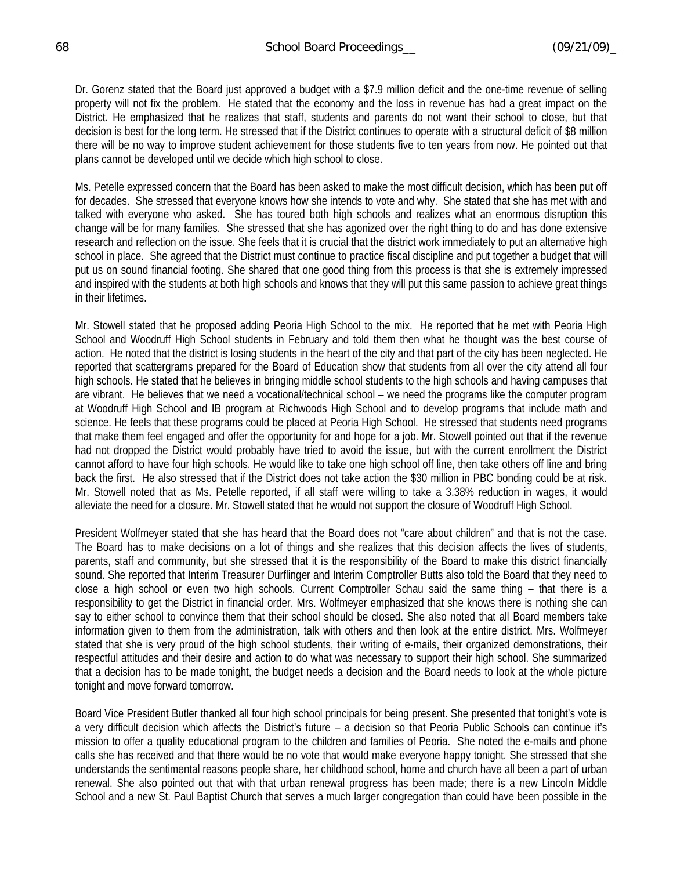Dr. Gorenz stated that the Board just approved a budget with a \$7.9 million deficit and the one-time revenue of selling property will not fix the problem. He stated that the economy and the loss in revenue has had a great impact on the District. He emphasized that he realizes that staff, students and parents do not want their school to close, but that decision is best for the long term. He stressed that if the District continues to operate with a structural deficit of \$8 million there will be no way to improve student achievement for those students five to ten years from now. He pointed out that plans cannot be developed until we decide which high school to close.

Ms. Petelle expressed concern that the Board has been asked to make the most difficult decision, which has been put off for decades. She stressed that everyone knows how she intends to vote and why. She stated that she has met with and talked with everyone who asked. She has toured both high schools and realizes what an enormous disruption this change will be for many families. She stressed that she has agonized over the right thing to do and has done extensive research and reflection on the issue. She feels that it is crucial that the district work immediately to put an alternative high school in place. She agreed that the District must continue to practice fiscal discipline and put together a budget that will put us on sound financial footing. She shared that one good thing from this process is that she is extremely impressed and inspired with the students at both high schools and knows that they will put this same passion to achieve great things in their lifetimes.

Mr. Stowell stated that he proposed adding Peoria High School to the mix. He reported that he met with Peoria High School and Woodruff High School students in February and told them then what he thought was the best course of action. He noted that the district is losing students in the heart of the city and that part of the city has been neglected. He reported that scattergrams prepared for the Board of Education show that students from all over the city attend all four high schools. He stated that he believes in bringing middle school students to the high schools and having campuses that are vibrant. He believes that we need a vocational/technical school – we need the programs like the computer program at Woodruff High School and IB program at Richwoods High School and to develop programs that include math and science. He feels that these programs could be placed at Peoria High School. He stressed that students need programs that make them feel engaged and offer the opportunity for and hope for a job. Mr. Stowell pointed out that if the revenue had not dropped the District would probably have tried to avoid the issue, but with the current enrollment the District cannot afford to have four high schools. He would like to take one high school off line, then take others off line and bring back the first. He also stressed that if the District does not take action the \$30 million in PBC bonding could be at risk. Mr. Stowell noted that as Ms. Petelle reported, if all staff were willing to take a 3.38% reduction in wages, it would alleviate the need for a closure. Mr. Stowell stated that he would not support the closure of Woodruff High School.

President Wolfmeyer stated that she has heard that the Board does not "care about children" and that is not the case. The Board has to make decisions on a lot of things and she realizes that this decision affects the lives of students, parents, staff and community, but she stressed that it is the responsibility of the Board to make this district financially sound. She reported that Interim Treasurer Durflinger and Interim Comptroller Butts also told the Board that they need to close a high school or even two high schools. Current Comptroller Schau said the same thing – that there is a responsibility to get the District in financial order. Mrs. Wolfmeyer emphasized that she knows there is nothing she can say to either school to convince them that their school should be closed. She also noted that all Board members take information given to them from the administration, talk with others and then look at the entire district. Mrs. Wolfmeyer stated that she is very proud of the high school students, their writing of e-mails, their organized demonstrations, their respectful attitudes and their desire and action to do what was necessary to support their high school. She summarized that a decision has to be made tonight, the budget needs a decision and the Board needs to look at the whole picture tonight and move forward tomorrow.

Board Vice President Butler thanked all four high school principals for being present. She presented that tonight's vote is a very difficult decision which affects the District's future – a decision so that Peoria Public Schools can continue it's mission to offer a quality educational program to the children and families of Peoria. She noted the e-mails and phone calls she has received and that there would be no vote that would make everyone happy tonight. She stressed that she understands the sentimental reasons people share, her childhood school, home and church have all been a part of urban renewal. She also pointed out that with that urban renewal progress has been made; there is a new Lincoln Middle School and a new St. Paul Baptist Church that serves a much larger congregation than could have been possible in the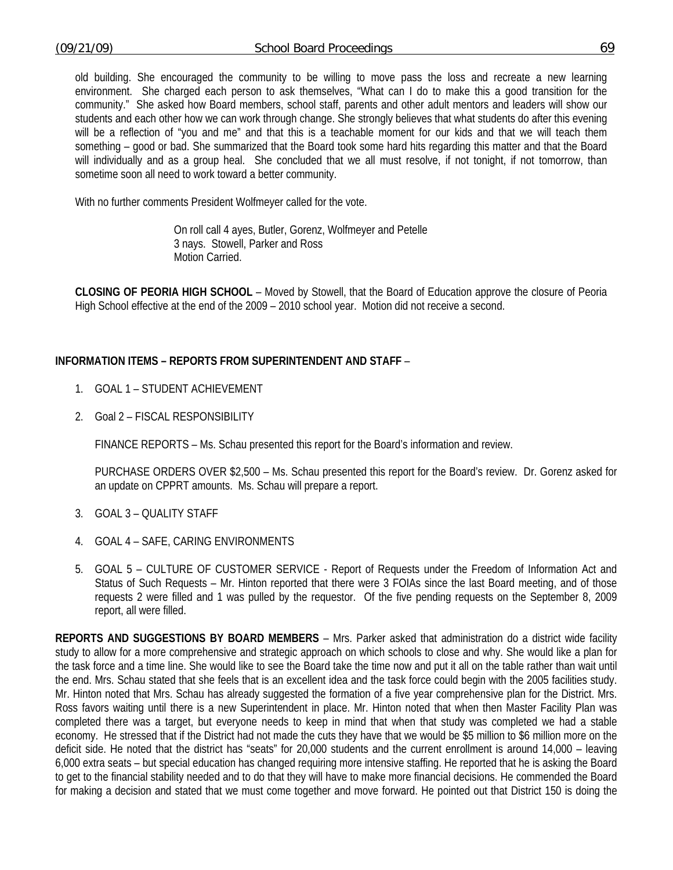old building. She encouraged the community to be willing to move pass the loss and recreate a new learning environment. She charged each person to ask themselves, "What can I do to make this a good transition for the community." She asked how Board members, school staff, parents and other adult mentors and leaders will show our students and each other how we can work through change. She strongly believes that what students do after this evening will be a reflection of "you and me" and that this is a teachable moment for our kids and that we will teach them something – good or bad. She summarized that the Board took some hard hits regarding this matter and that the Board will individually and as a group heal. She concluded that we all must resolve, if not tonight, if not tomorrow, than sometime soon all need to work toward a better community.

With no further comments President Wolfmeyer called for the vote.

 On roll call 4 ayes, Butler, Gorenz, Wolfmeyer and Petelle 3 nays. Stowell, Parker and Ross Motion Carried.

**CLOSING OF PEORIA HIGH SCHOOL** – Moved by Stowell, that the Board of Education approve the closure of Peoria High School effective at the end of the 2009 – 2010 school year. Motion did not receive a second.

### **INFORMATION ITEMS – REPORTS FROM SUPERINTENDENT AND STAFF** –

- 1. GOAL 1 STUDENT ACHIEVEMENT
- 2. Goal 2 FISCAL RESPONSIBILITY

FINANCE REPORTS – Ms. Schau presented this report for the Board's information and review.

 PURCHASE ORDERS OVER \$2,500 – Ms. Schau presented this report for the Board's review. Dr. Gorenz asked for an update on CPPRT amounts. Ms. Schau will prepare a report.

- 3. GOAL 3 QUALITY STAFF
- 4. GOAL 4 SAFE, CARING ENVIRONMENTS
- 5. GOAL 5 CULTURE OF CUSTOMER SERVICE Report of Requests under the Freedom of Information Act and Status of Such Requests – Mr. Hinton reported that there were 3 FOIAs since the last Board meeting, and of those requests 2 were filled and 1 was pulled by the requestor. Of the five pending requests on the September 8, 2009 report, all were filled.

**REPORTS AND SUGGESTIONS BY BOARD MEMBERS** – Mrs. Parker asked that administration do a district wide facility study to allow for a more comprehensive and strategic approach on which schools to close and why. She would like a plan for the task force and a time line. She would like to see the Board take the time now and put it all on the table rather than wait until the end. Mrs. Schau stated that she feels that is an excellent idea and the task force could begin with the 2005 facilities study. Mr. Hinton noted that Mrs. Schau has already suggested the formation of a five year comprehensive plan for the District. Mrs. Ross favors waiting until there is a new Superintendent in place. Mr. Hinton noted that when then Master Facility Plan was completed there was a target, but everyone needs to keep in mind that when that study was completed we had a stable economy. He stressed that if the District had not made the cuts they have that we would be \$5 million to \$6 million more on the deficit side. He noted that the district has "seats" for 20,000 students and the current enrollment is around 14,000 – leaving 6,000 extra seats – but special education has changed requiring more intensive staffing. He reported that he is asking the Board to get to the financial stability needed and to do that they will have to make more financial decisions. He commended the Board for making a decision and stated that we must come together and move forward. He pointed out that District 150 is doing the